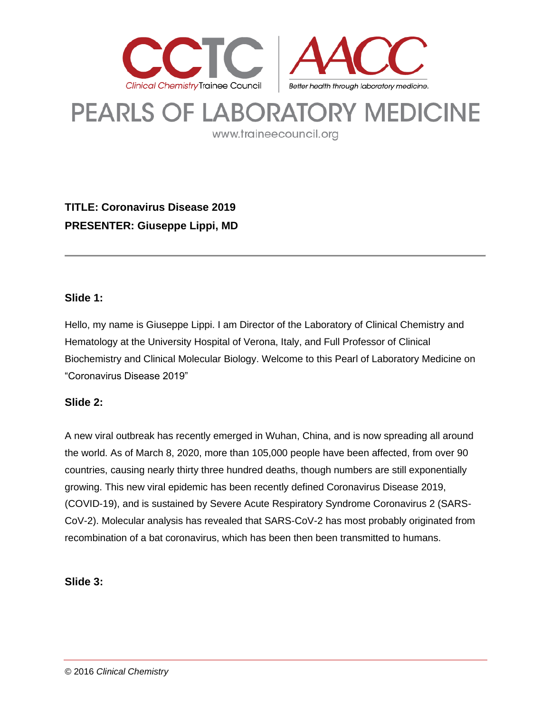

# **PEARLS OF LABORATORY MEDICINE**

www.traineecouncil.org

**TITLE: Coronavirus Disease 2019 PRESENTER: Giuseppe Lippi, MD**

#### **Slide 1:**

Hello, my name is Giuseppe Lippi. I am Director of the Laboratory of Clinical Chemistry and Hematology at the University Hospital of Verona, Italy, and Full Professor of Clinical Biochemistry and Clinical Molecular Biology. Welcome to this Pearl of Laboratory Medicine on "Coronavirus Disease 2019"

#### **Slide 2:**

A new viral outbreak has recently emerged in Wuhan, China, and is now spreading all around the world. As of March 8, 2020, more than 105,000 people have been affected, from over 90 countries, causing nearly thirty three hundred deaths, though numbers are still exponentially growing. This new viral epidemic has been recently defined Coronavirus Disease 2019, (COVID-19), and is sustained by Severe Acute Respiratory Syndrome Coronavirus 2 (SARS-CoV-2). Molecular analysis has revealed that SARS-CoV-2 has most probably originated from recombination of a bat coronavirus, which has been then been transmitted to humans.

#### **Slide 3:**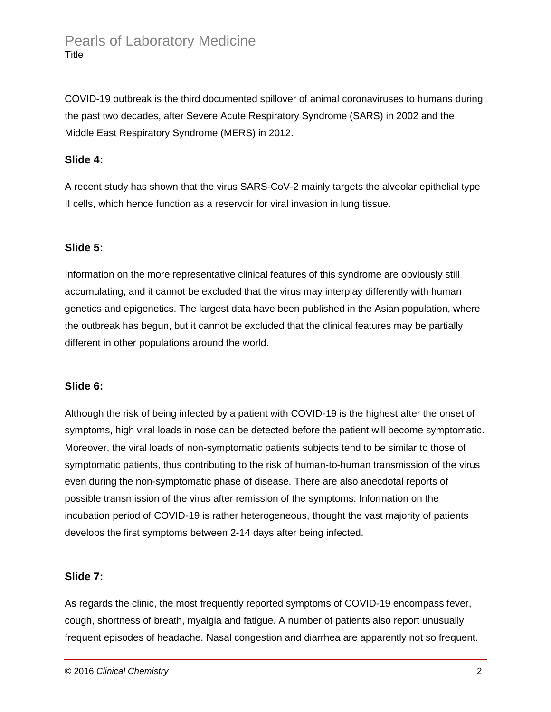COVID-19 outbreak is the third documented spillover of animal coronaviruses to humans during the past two decades, after Severe Acute Respiratory Syndrome (SARS) in 2002 and the Middle East Respiratory Syndrome (MERS) in 2012.

#### **Slide 4:**

A recent study has shown that the virus SARS-CoV-2 mainly targets the alveolar epithelial type II cells, which hence function as a reservoir for viral invasion in lung tissue.

#### **Slide 5:**

Information on the more representative clinical features of this syndrome are obviously still accumulating, and it cannot be excluded that the virus may interplay differently with human genetics and epigenetics. The largest data have been published in the Asian population, where the outbreak has begun, but it cannot be excluded that the clinical features may be partially different in other populations around the world.

#### **Slide 6:**

Although the risk of being infected by a patient with COVID-19 is the highest after the onset of symptoms, high viral loads in nose can be detected before the patient will become symptomatic. Moreover, the viral loads of non-symptomatic patients subjects tend to be similar to those of symptomatic patients, thus contributing to the risk of human-to-human transmission of the virus even during the non-symptomatic phase of disease. There are also anecdotal reports of possible transmission of the virus after remission of the symptoms. Information on the incubation period of COVID-19 is rather heterogeneous, thought the vast majority of patients develops the first symptoms between 2-14 days after being infected.

#### **Slide 7:**

As regards the clinic, the most frequently reported symptoms of COVID-19 encompass fever, cough, shortness of breath, myalgia and fatigue. A number of patients also report unusually frequent episodes of headache. Nasal congestion and diarrhea are apparently not so frequent.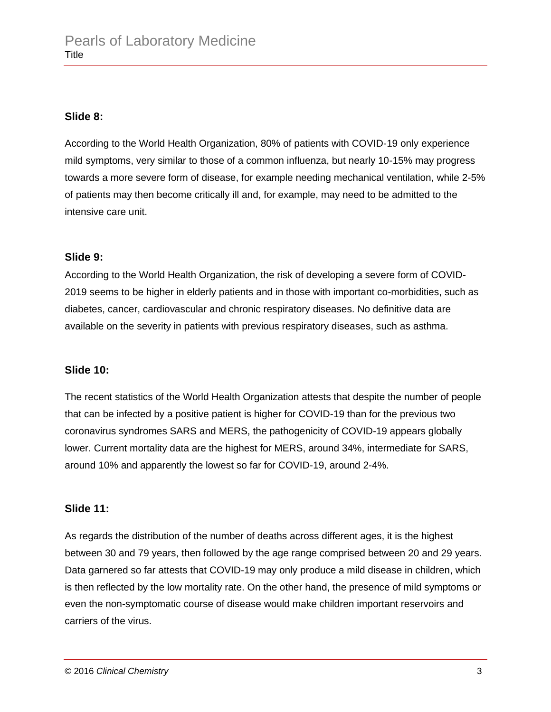#### **Slide 8:**

According to the World Health Organization, 80% of patients with COVID-19 only experience mild symptoms, very similar to those of a common influenza, but nearly 10-15% may progress towards a more severe form of disease, for example needing mechanical ventilation, while 2-5% of patients may then become critically ill and, for example, may need to be admitted to the intensive care unit.

### **Slide 9:**

According to the World Health Organization, the risk of developing a severe form of COVID-2019 seems to be higher in elderly patients and in those with important co-morbidities, such as diabetes, cancer, cardiovascular and chronic respiratory diseases. No definitive data are available on the severity in patients with previous respiratory diseases, such as asthma.

#### **Slide 10:**

The recent statistics of the World Health Organization attests that despite the number of people that can be infected by a positive patient is higher for COVID-19 than for the previous two coronavirus syndromes SARS and MERS, the pathogenicity of COVID-19 appears globally lower. Current mortality data are the highest for MERS, around 34%, intermediate for SARS, around 10% and apparently the lowest so far for COVID-19, around 2-4%.

# **Slide 11:**

As regards the distribution of the number of deaths across different ages, it is the highest between 30 and 79 years, then followed by the age range comprised between 20 and 29 years. Data garnered so far attests that COVID-19 may only produce a mild disease in children, which is then reflected by the low mortality rate. On the other hand, the presence of mild symptoms or even the non-symptomatic course of disease would make children important reservoirs and carriers of the virus.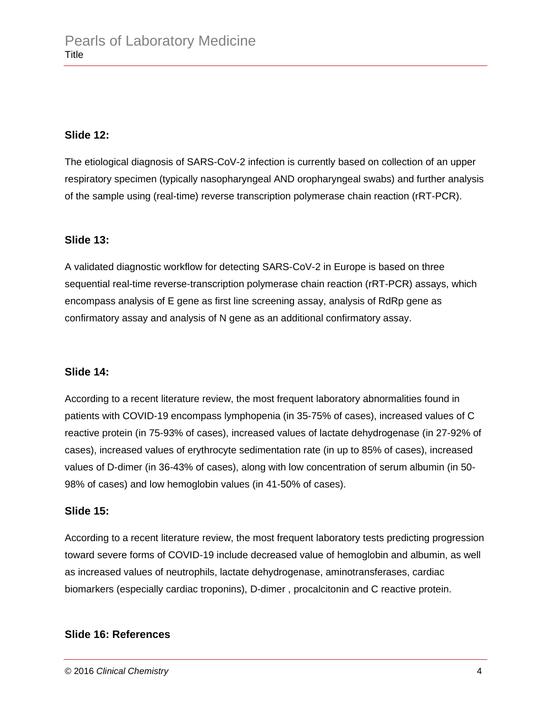#### **Slide 12:**

The etiological diagnosis of SARS-CoV-2 infection is currently based on collection of an upper respiratory specimen (typically nasopharyngeal AND oropharyngeal swabs) and further analysis of the sample using (real-time) reverse transcription polymerase chain reaction (rRT-PCR).

#### **Slide 13:**

A validated diagnostic workflow for detecting SARS-CoV-2 in Europe is based on three sequential real-time reverse-transcription polymerase chain reaction (rRT-PCR) assays, which encompass analysis of E gene as first line screening assay, analysis of RdRp gene as confirmatory assay and analysis of N gene as an additional confirmatory assay.

#### **Slide 14:**

According to a recent literature review, the most frequent laboratory abnormalities found in patients with COVID-19 encompass lymphopenia (in 35-75% of cases), increased values of C reactive protein (in 75-93% of cases), increased values of lactate dehydrogenase (in 27-92% of cases), increased values of erythrocyte sedimentation rate (in up to 85% of cases), increased values of D-dimer (in 36-43% of cases), along with low concentration of serum albumin (in 50- 98% of cases) and low hemoglobin values (in 41-50% of cases).

#### **Slide 15:**

According to a recent literature review, the most frequent laboratory tests predicting progression toward severe forms of COVID-19 include decreased value of hemoglobin and albumin, as well as increased values of neutrophils, lactate dehydrogenase, aminotransferases, cardiac biomarkers (especially cardiac troponins), D-dimer , procalcitonin and C reactive protein.

#### **Slide 16: References**